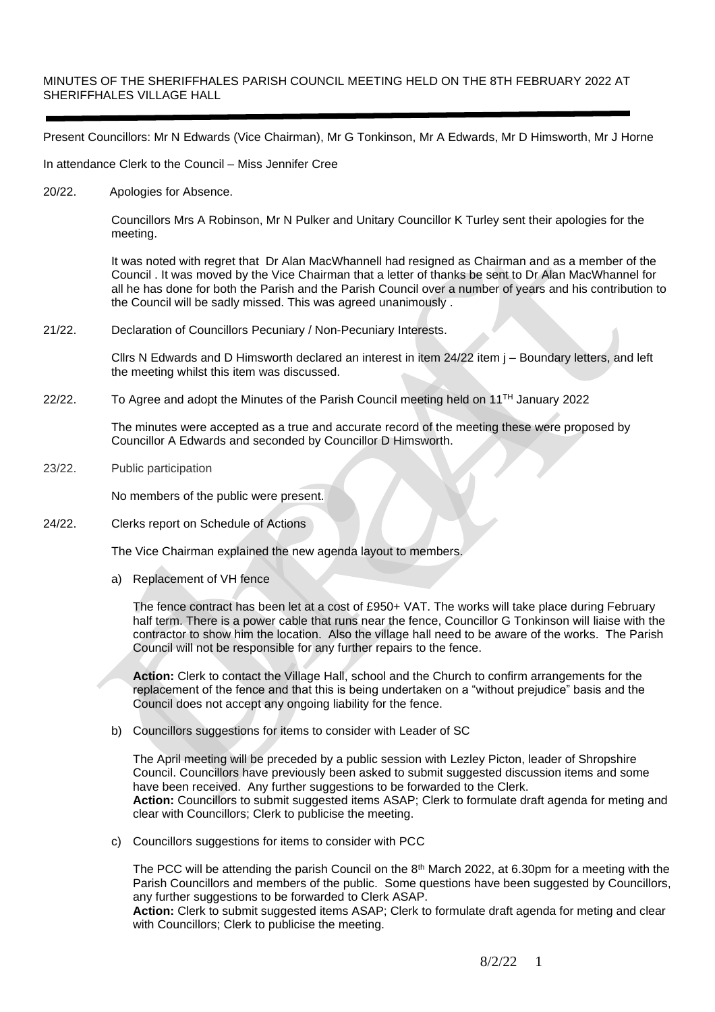## MINUTES OF THE SHERIFFHALES PARISH COUNCIL MEETING HELD ON THE 8TH FEBRUARY 2022 AT SHERIFFHALES VILLAGE HALL

Present Councillors: Mr N Edwards (Vice Chairman), Mr G Tonkinson, Mr A Edwards, Mr D Himsworth, Mr J Horne

In attendance Clerk to the Council – Miss Jennifer Cree

20/22. Apologies for Absence.

Councillors Mrs A Robinson, Mr N Pulker and Unitary Councillor K Turley sent their apologies for the meeting.

It was noted with regret that Dr Alan MacWhannell had resigned as Chairman and as a member of the Council . It was moved by the Vice Chairman that a letter of thanks be sent to Dr Alan MacWhannel for all he has done for both the Parish and the Parish Council over a number of years and his contribution to the Council will be sadly missed. This was agreed unanimously .

21/22. Declaration of Councillors Pecuniary / Non-Pecuniary Interests.

Cllrs N Edwards and D Himsworth declared an interest in item 24/22 item j – Boundary letters, and left the meeting whilst this item was discussed.

22/22. To Agree and adopt the Minutes of the Parish Council meeting held on 11™ January 2022

The minutes were accepted as a true and accurate record of the meeting these were proposed by Councillor A Edwards and seconded by Councillor D Himsworth.

23/22. Public participation

No members of the public were present.

24/22. Clerks report on Schedule of Actions

The Vice Chairman explained the new agenda layout to members.

a) Replacement of VH fence

The fence contract has been let at a cost of £950+ VAT. The works will take place during February half term. There is a power cable that runs near the fence, Councillor G Tonkinson will liaise with the contractor to show him the location. Also the village hall need to be aware of the works. The Parish Council will not be responsible for any further repairs to the fence.

**Action:** Clerk to contact the Village Hall, school and the Church to confirm arrangements for the replacement of the fence and that this is being undertaken on a "without prejudice" basis and the Council does not accept any ongoing liability for the fence.

b) Councillors suggestions for items to consider with Leader of SC

The April meeting will be preceded by a public session with Lezley Picton, leader of Shropshire Council. Councillors have previously been asked to submit suggested discussion items and some have been received. Any further suggestions to be forwarded to the Clerk. **Action:** Councillors to submit suggested items ASAP; Clerk to formulate draft agenda for meting and clear with Councillors; Clerk to publicise the meeting.

c) Councillors suggestions for items to consider with PCC

The PCC will be attending the parish Council on the  $8<sup>th</sup>$  March 2022, at 6.30pm for a meeting with the Parish Councillors and members of the public. Some questions have been suggested by Councillors, any further suggestions to be forwarded to Clerk ASAP.

**Action:** Clerk to submit suggested items ASAP; Clerk to formulate draft agenda for meting and clear with Councillors; Clerk to publicise the meeting.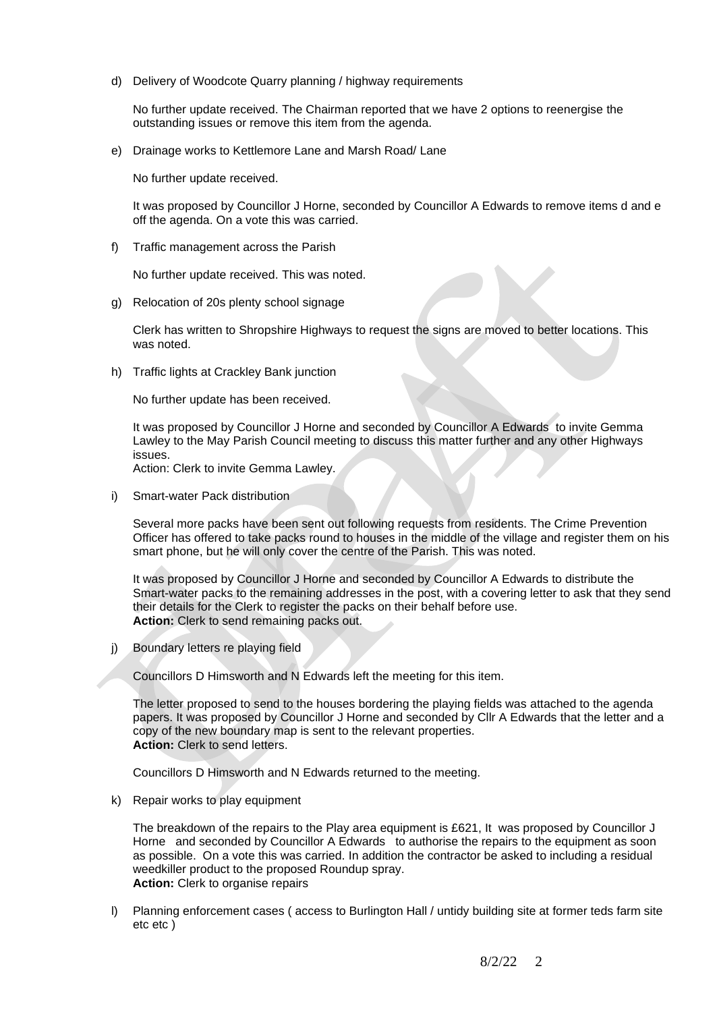d) Delivery of Woodcote Quarry planning / highway requirements

No further update received. The Chairman reported that we have 2 options to reenergise the outstanding issues or remove this item from the agenda.

e) Drainage works to Kettlemore Lane and Marsh Road/ Lane

No further update received.

It was proposed by Councillor J Horne, seconded by Councillor A Edwards to remove items d and e off the agenda. On a vote this was carried.

f) Traffic management across the Parish

No further update received. This was noted.

g) Relocation of 20s plenty school signage

Clerk has written to Shropshire Highways to request the signs are moved to better locations. This was noted.

h) Traffic lights at Crackley Bank junction

No further update has been received.

It was proposed by Councillor J Horne and seconded by Councillor A Edwards to invite Gemma Lawley to the May Parish Council meeting to discuss this matter further and any other Highways issues.

Action: Clerk to invite Gemma Lawley.

i) Smart-water Pack distribution

Several more packs have been sent out following requests from residents. The Crime Prevention Officer has offered to take packs round to houses in the middle of the village and register them on his smart phone, but he will only cover the centre of the Parish. This was noted.

It was proposed by Councillor J Horne and seconded by Councillor A Edwards to distribute the Smart-water packs to the remaining addresses in the post, with a covering letter to ask that they send their details for the Clerk to register the packs on their behalf before use. **Action:** Clerk to send remaining packs out.

j) Boundary letters re playing field

Councillors D Himsworth and N Edwards left the meeting for this item.

The letter proposed to send to the houses bordering the playing fields was attached to the agenda papers. It was proposed by Councillor J Horne and seconded by Cllr A Edwards that the letter and a copy of the new boundary map is sent to the relevant properties. **Action:** Clerk to send letters.

Councillors D Himsworth and N Edwards returned to the meeting.

k) Repair works to play equipment

The breakdown of the repairs to the Play area equipment is £621, It was proposed by Councillor J Horne and seconded by Councillor A Edwards to authorise the repairs to the equipment as soon as possible. On a vote this was carried. In addition the contractor be asked to including a residual weedkiller product to the proposed Roundup spray. **Action:** Clerk to organise repairs

l) Planning enforcement cases ( access to Burlington Hall / untidy building site at former teds farm site etc etc )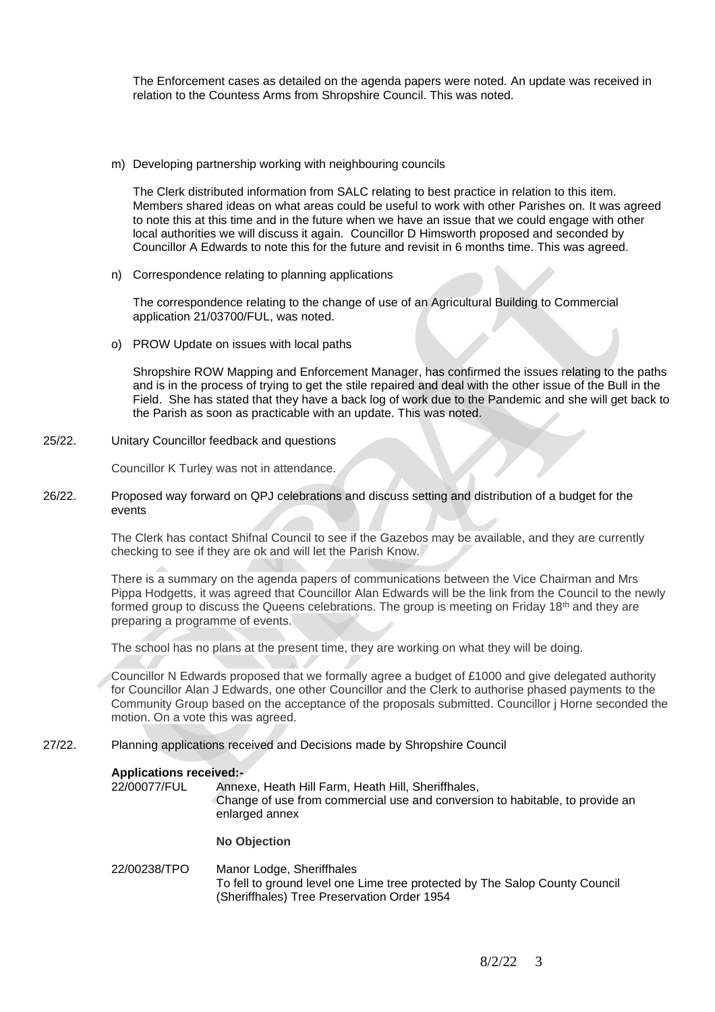The Enforcement cases as detailed on the agenda papers were noted. An update was received in relation to the Countess Arms from Shropshire Council. This was noted.

m) Developing partnership working with neighbouring councils

The Clerk distributed information from SALC relating to best practice in relation to this item. Members shared ideas on what areas could be useful to work with other Parishes on. It was agreed to note this at this time and in the future when we have an issue that we could engage with other local authorities we will discuss it again. Councillor D Himsworth proposed and seconded by Councillor A Edwards to note this for the future and revisit in 6 months time. This was agreed.

n) Correspondence relating to planning applications

The correspondence relating to the change of use of an Agricultural Building to Commercial application 21/03700/FUL, was noted.

o) PROW Update on issues with local paths

Shropshire ROW Mapping and Enforcement Manager, has confirmed the issues relating to the paths and is in the process of trying to get the stile repaired and deal with the other issue of the Bull in the Field. She has stated that they have a back log of work due to the Pandemic and she will get back to the Parish as soon as practicable with an update. This was noted.

25/22. Unitary Councillor feedback and questions

Councillor K Turley was not in attendance.

26/22. Proposed way forward on QPJ celebrations and discuss setting and distribution of a budget for the events

> The Clerk has contact Shifnal Council to see if the Gazebos may be available, and they are currently checking to see if they are ok and will let the Parish Know.

There is a summary on the agenda papers of communications between the Vice Chairman and Mrs Pippa Hodgetts, it was agreed that Councillor Alan Edwards will be the link from the Council to the newly formed group to discuss the Queens celebrations. The group is meeting on Friday 18<sup>th</sup> and they are preparing a programme of events.

The school has no plans at the present time, they are working on what they will be doing.

Councillor N Edwards proposed that we formally agree a budget of £1000 and give delegated authority for Councillor Alan J Edwards, one other Councillor and the Clerk to authorise phased payments to the Community Group based on the acceptance of the proposals submitted. Councillor j Horne seconded the motion. On a vote this was agreed.

27/22. Planning applications received and Decisions made by Shropshire Council

## **Applications received:-**

22/00077/FUL Annexe, Heath Hill Farm, Heath Hill, Sheriffhales, Change of use from commercial use and conversion to habitable, to provide an enlarged annex

**No Objection**

22/00238/TPO Manor Lodge, Sheriffhales To fell to ground level one Lime tree protected by The Salop County Council (Sheriffhales) Tree Preservation Order 1954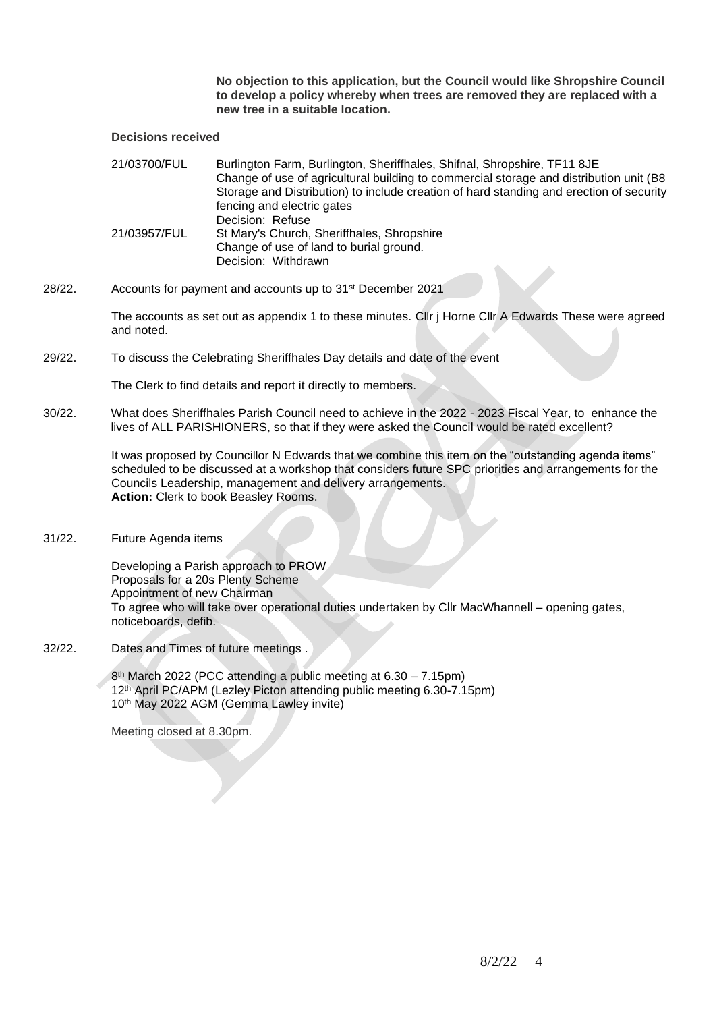**No objection to this application, but the Council would like Shropshire Council to develop a policy whereby when trees are removed they are replaced with a new tree in a suitable location.**

## **Decisions received**

| 21/03700/FUL | Burlington Farm, Burlington, Sheriffhales, Shifnal, Shropshire, TF11 8JE<br>Change of use of agricultural building to commercial storage and distribution unit (B8)<br>Storage and Distribution) to include creation of hard standing and erection of security<br>fencing and electric gates |
|--------------|----------------------------------------------------------------------------------------------------------------------------------------------------------------------------------------------------------------------------------------------------------------------------------------------|
| 21/03957/FUL | Decision: Refuse<br>St Mary's Church, Sheriffhales, Shropshire<br>Change of use of land to burial ground.<br>Decision: Withdrawn                                                                                                                                                             |

28/22. Accounts for payment and accounts up to 31st December 2021

The accounts as set out as appendix 1 to these minutes. Cllr j Horne Cllr A Edwards These were agreed and noted.

29/22. To discuss the Celebrating Sheriffhales Day details and date of the event

The Clerk to find details and report it directly to members.

30/22. What does Sheriffhales Parish Council need to achieve in the 2022 - 2023 Fiscal Year, to enhance the lives of ALL PARISHIONERS, so that if they were asked the Council would be rated excellent?

> It was proposed by Councillor N Edwards that we combine this item on the "outstanding agenda items" scheduled to be discussed at a workshop that considers future SPC priorities and arrangements for the Councils Leadership, management and delivery arrangements. **Action:** Clerk to book Beasley Rooms.

31/22. Future Agenda items

Developing a Parish approach to PROW Proposals for a 20s Plenty Scheme Appointment of new Chairman To agree who will take over operational duties undertaken by Cllr MacWhannell – opening gates, noticeboards, defib.

32/22. Dates and Times of future meetings .

8 th March 2022 (PCC attending a public meeting at 6.30 – 7.15pm) 12th April PC/APM (Lezley Picton attending public meeting 6.30-7.15pm) 10th May 2022 AGM (Gemma Lawley invite)

Meeting closed at 8.30pm.